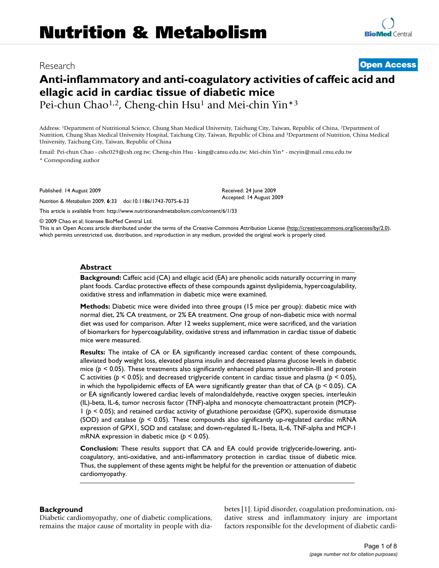# Research **[Open Access](http://www.biomedcentral.com/info/about/charter/)**

# **Anti-inflammatory and anti-coagulatory activities of caffeic acid and ellagic acid in cardiac tissue of diabetic mice**

Pei-chun Chao<sup>1,2</sup>, Cheng-chin Hsu<sup>1</sup> and Mei-chin Yin<sup>\*3</sup>

Address: 1Department of Nutritional Science, Chung Shan Medical University, Taichung City, Taiwan, Republic of China, 2Department of Nutrition, Chung Shan Medical University Hospital, Taichung City, Taiwan, Republic of China and 3Department of Nutrition, China Medical University, Taichung City, Taiwan, Republic of China

Email: Pei-chun Chao - cshc029@csh.org.tw; Cheng-chin Hsu - king@camu.edu.tw; Mei-chin Yin\* - mcyin@mail.cmu.edu.tw \* Corresponding author

Published: 14 August 2009

*Nutrition & Metabolism* 2009, **6**:33 doi:10.1186/1743-7075-6-33

Received: 24 June 2009 Accepted: 14 August 2009

[This article is available from: http://www.nutritionandmetabolism.com/content/6/1/33](http://www.nutritionandmetabolism.com/content/6/1/33)

© 2009 Chao et al; licensee BioMed Central Ltd.

This is an Open Access article distributed under the terms of the Creative Commons Attribution License [\(http://creativecommons.org/licenses/by/2.0\)](http://creativecommons.org/licenses/by/2.0), which permits unrestricted use, distribution, and reproduction in any medium, provided the original work is properly cited.

#### **Abstract**

**Background:** Caffeic acid (CA) and ellagic acid (EA) are phenolic acids naturally occurring in many plant foods. Cardiac protective effects of these compounds against dyslipidemia, hypercoagulability, oxidative stress and inflammation in diabetic mice were examined.

**Methods:** Diabetic mice were divided into three groups (15 mice per group): diabetic mice with normal diet, 2% CA treatment, or 2% EA treatment. One group of non-diabetic mice with normal diet was used for comparison. After 12 weeks supplement, mice were sacrificed, and the variation of biomarkers for hypercoagulability, oxidative stress and inflammation in cardiac tissue of diabetic mice were measured.

**Results:** The intake of CA or EA significantly increased cardiac content of these compounds, alleviated body weight loss, elevated plasma insulin and decreased plasma glucose levels in diabetic mice ( $p < 0.05$ ). These treatments also significantly enhanced plasma antithrombin-III and protein C activities ( $p < 0.05$ ); and decreased triglyceride content in cardiac tissue and plasma ( $p < 0.05$ ), in which the hypolipidemic effects of EA were significantly greater than that of CA (*p* < 0.05). CA or EA significantly lowered cardiac levels of malondialdehyde, reactive oxygen species, interleukin (IL)-beta, IL-6, tumor necrosis factor (TNF)-alpha and monocyte chemoattractant protein (MCP)- 1 (*p* < 0.05); and retained cardiac activity of glutathione peroxidase (GPX), superoxide dismutase (SOD) and catalase ( $p < 0.05$ ). These compounds also significantly up-regulated cardiac mRNA expression of GPX1, SOD and catalase; and down-regulated IL-1beta, IL-6, TNF-alpha and MCP-1 mRNA expression in diabetic mice (*p* < 0.05).

**Conclusion:** These results support that CA and EA could provide triglyceride-lowering, anticoagulatory, anti-oxidative, and anti-inflammatory protection in cardiac tissue of diabetic mice. Thus, the supplement of these agents might be helpful for the prevention or attenuation of diabetic cardiomyopathy.

## **Background**

Diabetic cardiomyopathy, one of diabetic complications, remains the major cause of mortality in people with diabetes [1]. Lipid disorder, coagulation predomination, oxidative stress and inflammatory injury are important factors responsible for the development of diabetic cardi-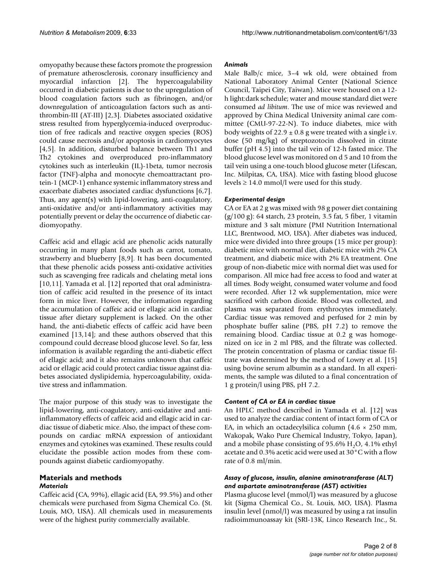omyopathy because these factors promote the progression of premature atherosclerosis, coronary insufficiency and myocardial infarction [2]. The hypercoagulability occurred in diabetic patients is due to the upregulation of blood coagulation factors such as fibrinogen, and/or downregulation of anticoagulation factors such as antithrombin-III (AT-III) [2,3]. Diabetes associated oxidative stress resulted from hyperglycemia-induced overproduction of free radicals and reactive oxygen species (ROS) could cause necrosis and/or apoptosis in cardiomyocytes [4,5]. In addition, disturbed balance between Th1 and Th2 cytokines and overproduced pro-inflammatory cytokines such as interleukin (IL)-1beta, tumor necrosis factor (TNF)-alpha and monocyte chemoattractant protein-1 (MCP-1) enhance systemic inflammatory stress and exacerbate diabetes associated cardiac dysfunctions [6,7]. Thus, any agent(s) with lipid-lowering, anti-coagulatory, anti-oxidative and/or anti-inflammatory activities may potentially prevent or delay the occurrence of diabetic cardiomyopathy.

Caffeic acid and ellagic acid are phenolic acids naturally occurring in many plant foods such as carrot, tomato, strawberry and blueberry [8,9]. It has been documented that these phenolic acids possess anti-oxidative activities such as scavenging free radicals and chelating metal ions [10,11]. Yamada et al. [12] reported that oral administration of caffeic acid resulted in the presence of its intact form in mice liver. However, the information regarding the accumulation of caffeic acid or ellagic acid in cardiac tissue after dietary supplement is lacked. On the other hand, the anti-diabetic effects of caffeic acid have been examined [13,14]; and these authors observed that this compound could decrease blood glucose level. So far, less information is available regarding the anti-diabetic effect of ellagic acid; and it also remains unknown that caffeic acid or ellagic acid could protect cardiac tissue against diabetes associated dyslipidemia, hypercoagulability, oxidative stress and inflammation.

The major purpose of this study was to investigate the lipid-lowering, anti-coagulatory, anti-oxidative and antiinflammatory effects of caffeic acid and ellagic acid in cardiac tissue of diabetic mice. Also, the impact of these compounds on cardiac mRNA expression of antioxidant enzymes and cytokines was examined. These results could elucidate the possible action modes from these compounds against diabetic cardiomyopathy.

# **Materials and methods** *Materials*

Caffeic acid (CA, 99%), ellagic acid (EA, 99.5%) and other chemicals were purchased from Sigma Chemical Co. (St. Louis, MO, USA). All chemicals used in measurements were of the highest purity commercially available.

# *Animals*

Male Balb/c mice, 3–4 wk old, were obtained from National Laboratory Animal Center (National Science Council, Taipei City, Taiwan). Mice were housed on a 12 h light:dark schedule; water and mouse standard diet were consumed *ad libitum*. The use of mice was reviewed and approved by China Medical University animal care committee (CMU-97-22-N). To induce diabetes, mice with body weights of  $22.9 \pm 0.8$  g were treated with a single i.v. dose (50 mg/kg) of streptozotocin dissolved in citrate buffer (pH 4.5) into the tail vein of 12-h fasted mice. The blood glucose level was monitored on d 5 and 10 from the tail vein using a one-touch blood glucose meter (Lifescan, Inc. Milpitas, CA, USA). Mice with fasting blood glucose levels  $\geq 14.0$  mmol/l were used for this study.

# *Experimental design*

CA or EA at 2 g was mixed with 98 g power diet containing (g/100 g): 64 starch, 23 protein, 3.5 fat, 5 fiber, 1 vitamin mixture and 3 salt mixture (PMI Nutrition International LLC, Brentwood, MO, USA). After diabetes was induced, mice were divided into three groups (15 mice per group): diabetic mice with normal diet, diabetic mice with 2% CA treatment, and diabetic mice with 2% EA treatment. One group of non-diabetic mice with normal diet was used for comparison. All mice had free access to food and water at all times. Body weight, consumed water volume and food were recorded. After 12 wk supplementation, mice were sacrificed with carbon dioxide. Blood was collected, and plasma was separated from erythrocytes immediately. Cardiac tissue was removed and perfused for 2 min by phosphate buffer saline (PBS, pH 7.2) to remove the remaining blood. Cardiac tissue at 0.2 g was homogenized on ice in 2 ml PBS, and the filtrate was collected. The protein concentration of plasma or cardiac tissue filtrate was determined by the method of Lowry et al. [15] using bovine serum albumin as a standard. In all experiments, the sample was diluted to a final concentration of 1 g protein/l using PBS, pH 7.2.

# *Content of CA or EA in cardiac tissue*

An HPLC method described in Yamada et al. [12] was used to analyze the cardiac content of intact form of CA or EA, in which an octadecylsilica column  $(4.6 \times 250 \text{ mm})$ , Wakopak, Wako Pure Chemical Industry, Tokyo, Japan), and a mobile phase consisting of 95.6%  $H_2O$ , 4.1% ethyl acetate and 0.3% acetic acid were used at 30°C with a flow rate of 0.8 ml/min.

# *Assay of glucose, insulin, alanine aminotransferase (ALT) and aspartate aminotransferase (AST) activities*

Plasma glucose level (mmol/l) was measured by a glucose kit (Sigma Chemical Co., St. Louis, MO, USA). Plasma insulin level (nmol/l) was measured by using a rat insulin radioimmunoassay kit (SRI-13K, Linco Research Inc., St.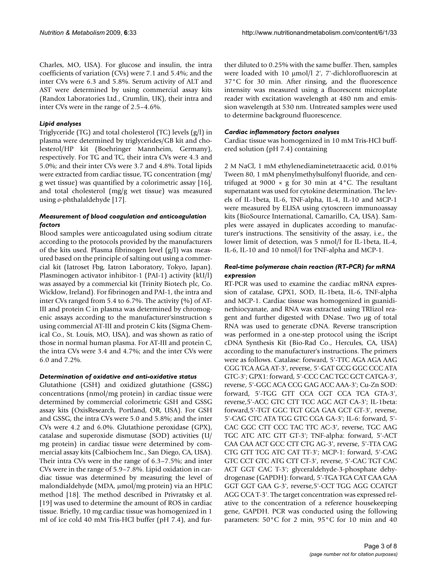Charles, MO, USA). For glucose and insulin, the intra coefficients of variation (CVs) were 7.1 and 5.4%; and the inter CVs were 6.3 and 5.8%. Serum activity of ALT and AST were determined by using commercial assay kits (Randox Laboratories Ltd., Crumlin, UK), their intra and inter CVs were in the range of 2.5–4.6%.

# *Lipid analyses*

Triglyceride (TG) and total cholesterol (TC) levels (g/l) in plasma were determined by triglycerides/GB kit and cholesterol/HP kit (Boehringer Mannheim, Germany), respectively. For TG and TC, their intra CVs were 4.3 and 5.0%; and their inter CVs were 3.7 and 4.8%. Total lipids were extracted from cardiac tissue, TG concentration (mg/ g wet tissue) was quantified by a colorimetric assay [16], and total cholesterol (mg/g wet tissue) was measured using *o*-phthalaldehyde [17].

# *Measurement of blood coagulation and anticoagulation factors*

Blood samples were anticoagulated using sodium citrate according to the protocols provided by the manufacturers of the kits used. Plasma fibrinogen level (g/l) was measured based on the principle of salting out using a commercial kit (Iatroset Fbg, Iatron Laboratory, Tokyo, Japan). Plasminogen activator inhibitor-1 (PAI-1) activity (kU/l) was assayed by a commercial kit (Trinity Biotech plc, Co. Wicklow, Ireland). For fibrinogen and PAI-1, the intra and inter CVs ranged from 5.4 to 6.7%. The activity (%) of AT-III and protein C in plasma was determined by chromogenic assays according to the manufacturer'sinstruction s using commercial AT-III and protein C kits (Sigma Chemical Co., St. Louis, MO, USA), and was shown as ratio of those in normal human plasma. For AT-III and protein C, the intra CVs were 3.4 and 4.7%; and the inter CVs were 6.0 and 7.2%.

## *Determination of oxidative and anti-oxidative status*

Glutathione (GSH) and oxidized glutathione (GSSG) concentrations (nmol/mg protein) in cardiac tissue were determined by commercial colorimetric GSH and GSSG assay kits (OxisResearch, Portland, OR, USA). For GSH and GSSG, the intra CVs were 5.0 and 5.8%; and the inter CVs were 4.2 and 6.0%. Glutathione peroxidase (GPX), catalase and superoxide dismutase (SOD) activities (U/ mg protein) in cardiac tissue were determined by commercial assay kits (Calbiochem Inc., San Diego, CA, USA). Their intra CVs were in the range of 6.3–7.5%; and inter CVs were in the range of 5.9–7.8%. Lipid oxidation in cardiac tissue was determined by measuring the level of malondialdehyde (MDA, μmol/mg protein) via an HPLC method [18]. The method described in Privratsky et al. [19] was used to determine the amount of ROS in cardiac tissue. Briefly, 10 mg cardiac tissue was homogenized in 1 ml of ice cold 40 mM Tris-HCl buffer (pH 7.4), and further diluted to 0.25% with the same buffer. Then, samples were loaded with 10 μmol/l 2', 7'-dichlorofluorescin at 37°C for 30 min. After rinsing, and the fluorescence intensity was measured using a fluorescent microplate reader with excitation wavelength at 480 nm and emission wavelength at 530 nm. Untreated samples were used to determine background fluorescence.

# *Cardiac inflammatory factors analyses*

Cardiac tissue was homogenized in 10 mM Tris-HCl buffered solution (pH 7.4) containing

2 M NaCl, 1 mM ethylenediaminetetraacetic acid, 0.01% Tween 80, 1 mM phenylmethylsulfonyl fluoride, and centrifuged at  $9000 \times g$  for 30 min at 4°C. The resultant supernatant was used for cytokine determination. The levels of IL-1beta, IL-6, TNF-alpha, IL-4, IL-10 and MCP-1 were measured by ELISA using cytoscreen immunoassay kits (BioSource International, Camarillo, CA, USA). Samples were assayed in duplicates according to manufacturer's instructions. The sensitivity of the assay, i.e., the lower limit of detection, was 5 nmol/l for IL-1beta, IL-4, IL-6, IL-10 and 10 nmol/l for TNF-alpha and MCP-1.

# *Real-time polymerase chain reaction (RT-PCR) for mRNA expression*

RT-PCR was used to examine the cardiac mRNA expression of catalase, GPX1, SOD, IL-1beta, IL-6, TNF-alpha and MCP-1. Cardiac tissue was homogenized in guanidinethiocyanate, and RNA was extracted using TRIizol reagent and further digested with DNase. Two μg of total RNA was used to generate cDNA. Reverse transcription was performed in a one-step protocol using the iScript cDNA Synthesis Kit (Bio-Rad Co., Hercules, CA, USA) according to the manufacturer's instructions. The primers were as follows. Catalase: forward, 5'-TTC AGA AGA AAG CGG TCA AGA AT-3', reverse, 5'-GAT GCG GGC CCC ATA GTC-3'; GPX1: forward, 5'-CCC CAC TGC GCT CATGA-3', reverse, 5'-GGC ACA CCG GAG ACC AAA-3'; Cu-Zn SOD: forward, 5'-TGG GTT CCA CGT CCA TCA GTA-3', reverse,5'-ACC GTC CTT TCC AGC AGT CA-3'; IL-1beta: forward,5'-TGT GGC TGT GGA GAA GCT GT-3', reverse, 5'-CAG CTC ATA TGG GTC CGA GA-3'; IL-6: forward, 5'- CAC GGC CTT CCC TAC TTC AC-3', reverse, TGC AAG TGC ATC ATC GTT GT-3'; TNF-alpha: forward, 5'-ACT CAA CAA ACT GCC CTT CTG AG-3', reverse, 5'-TTA CAG CTG GTT TCG ATC CAT TT-3'; MCP-1: forward, 5'-CAG GTC CCT GTC ATG CTT CT-3', reverse, 5'-CAC TGT CAC ACT GGT CAC T-3'; glyceraldehyde-3-phosphate dehydrogenase (GAPDH): forward, 5'-TGA TGA CAT CAA GAA GGT GGT GAA G-3', reverse,5'-CCT TGG AGG CCATGT AGG CCA T-3'. The target concentration was expressed relative to the concentration of a reference housekeeping gene, GAPDH. PCR was conducted using the following parameters: 50°C for 2 min, 95°C for 10 min and 40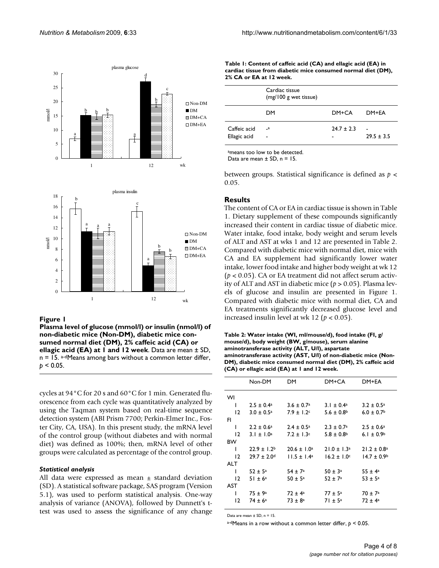

**Plasma level of glucose (mmol/l) or insulin (nmol/l) of non-diabetic mice (Non-DM), diabetic mice consumed normal diet (DM), 2% caffeic acid (CA) or ellagic acid (EA) at 1 and 12 week**. Data are mean ± SD,  $n = 15$ . a-dMeans among bars without a common letter differ,  $p < 0.05$ .

cycles at 94°C for 20 s and 60°C for 1 min. Generated fluorescence from each cycle was quantitatively analyzed by using the Taqman system based on real-time sequence detection system (ABI Prism 7700; Perkin-Elmer Inc., Foster City, CA, USA). In this present study, the mRNA level of the control group (without diabetes and with normal diet) was defined as 100%; then, mRNA level of other groups were calculated as percentage of the control group.

#### *Statistical analysis*

All data were expressed as mean ± standard deviation (SD). A statistical software package, SAS program (Version 5.1), was used to perform statistical analysis. One-way analysis of variance (ANOVA), followed by Dunnett's ttest was used to assess the significance of any change

| Table 1: Content of caffeic acid (CA) and ellagic acid (EA) in |
|----------------------------------------------------------------|
| cardiac tissue from diabetic mice consumed normal diet (DM),   |
| 2% CA or EA at 12 week.                                        |

|                              | Cardiac tissue<br>(mg/100 g wet tissue)  |                |                |
|------------------------------|------------------------------------------|----------------|----------------|
|                              | DM                                       | DM+CA          | DM+FA          |
| Caffeic acid<br>Ellagic acid | $\mathbf{a}$<br>$\overline{\phantom{0}}$ | $24.7 \pm 2.3$ | $29.5 \pm 3.5$ |

ameans too low to be detected.

Data are mean  $\pm$  SD, n = 15.

between groups. Statistical significance is defined as *p* < 0.05.

#### **Results**

The content of CA or EA in cardiac tissue is shown in Table 1. Dietary supplement of these compounds significantly increased their content in cardiac tissue of diabetic mice. Water intake, food intake, body weight and serum levels of ALT and AST at wks 1 and 12 are presented in Table 2. Compared with diabetic mice with normal diet, mice with CA and EA supplement had significantly lower water intake, lower food intake and higher body weight at wk 12 (*p* < 0.05). CA or EA treatment did not affect serum activity of ALT and AST in diabetic mice (*p* > 0.05). Plasma levels of glucose and insulin are presented in Figure 1. Compared with diabetic mice with normal diet, CA and EA treatments significantly decreased glucose level and **Figure 1** increased insulin level at wk 12  $(p < 0.05)$ .

**Table 2: Water intake (WI, ml/mouse/d), food intake (FI, g/ mouse/d), body weight (BW, g/mouse), serum alanine aminotransferase activity (ALT, U/l), aspartate aminotransferase activity (AST, U/l) of non-diabetic mice (Non-DM), diabetic mice consumed normal diet (DM), 2% caffeic acid (CA) or ellagic acid (EA) at 1 and 12 week.** 

|     | Non-DM                | DM                         | DM+CA                  | DM+EA                      |
|-----|-----------------------|----------------------------|------------------------|----------------------------|
| WI  |                       |                            |                        |                            |
| L   | $2.5 \pm 0.4^{\circ}$ | $3.6 \pm 0.7$ <sup>a</sup> | $3.1 \pm 0.4^{\circ}$  | $3.2 \pm 0.5^{\circ}$      |
| 12  | $3.0 \pm 0.5^{\circ}$ | $7.9 \pm 1.2$ c            | $5.6 \pm 0.8$          | $6.0 \pm 0.7$ <sup>b</sup> |
| FI  |                       |                            |                        |                            |
| ı   | $2.2 \pm 0.6^{\circ}$ | $2.4 \pm 0.5^{\circ}$      | $2.3 \pm 0.7^{\circ}$  | $2.5 \pm 0.6^a$            |
| 12  | $3.1 \pm 1.0^a$       | $7.2 \pm 1.3$ c            | $5.8 \pm 0.8$          | 6.1 $\pm$ 0.9 <sup>b</sup> |
| BW  |                       |                            |                        |                            |
| ı   | $22.9 \pm 1.2^b$      | $20.6 \pm 1.0^a$           | $21.0 \pm 1.3^{\circ}$ | $21.2 \pm 0.8^{\circ}$     |
| 12  | $29.7 \pm 2.0$ d      | $11.5 \pm 1.4^a$           | $16.2 \pm 1.0$ c       | $14.7 \pm 0.9$             |
| ALT |                       |                            |                        |                            |
| ı   | $52 \pm 5^{\circ}$    | $54 \pm 7^{\circ}$         | $50 \pm 3^{\circ}$     | $55 \pm 4^{\circ}$         |
| 12  | $51 \pm 6^a$          | $50 \pm 5^{\circ}$         | $52 \pm 7^{\circ}$     | $53 \pm 5^{\circ}$         |
| AST |                       |                            |                        |                            |
| ı   | $75 + 9a$             | $72 \pm 4^{\circ}$         | $77 \pm 5^{\circ}$     | $70 \pm 7^{\circ}$         |
| 12  | $74 \pm 6^{\circ}$    | $73 \pm 8^{\circ}$         | 71 ± 5ª                | $72 \pm 4^{\circ}$         |
|     |                       |                            |                        |                            |

Data are mean  $\pm$  SD, n = 15.

a-dMeans in a row without a common letter differ, *p* < 0.05.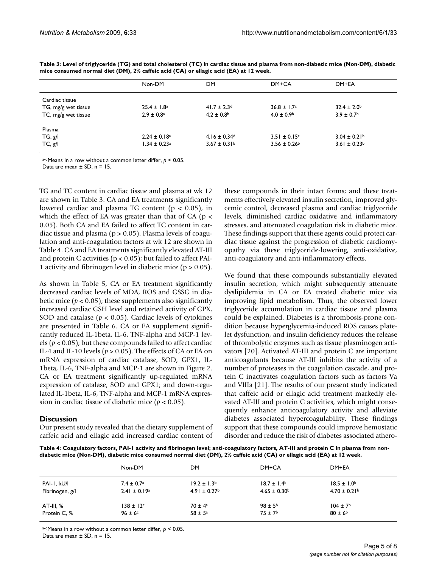|                     | Non-DM                       | DM                       | DM+CA                      | DM+EA                      |
|---------------------|------------------------------|--------------------------|----------------------------|----------------------------|
| Cardiac tissue      |                              |                          |                            |                            |
| TG, mg/g wet tissue | $25.4 \pm 1.8^{\circ}$       | 41.7 ± 2.3 <sup>d</sup>  | $36.8 \pm 1.7$             | $32.4 \pm 2.0^{\circ}$     |
| TC, mg/g wet tissue | $2.9 \pm 0.8$ <sup>a</sup>   | $4.2 \pm 0.8$            | $4.0 \pm 0.9$ <sup>b</sup> | $3.9 \pm 0.7$ <sup>b</sup> |
| Plasma              |                              |                          |                            |                            |
| TG, g/I             | $2.24 \pm 0.18$ <sup>a</sup> | 4.16 ± 0.34 <sup>d</sup> | $3.51 \pm 0.15$ c          | $3.04 \pm 0.21^{\circ}$    |
| TC, g/I             | $1.34 \pm 0.23$ <sup>a</sup> | $3.67 \pm 0.31$          | $3.56 \pm 0.26$            | $3.61 \pm 0.23^b$          |

**Table 3: Level of triglyceride (TG) and total cholesterol (TC) in cardiac tissue and plasma from non-diabetic mice (Non-DM), diabetic mice consumed normal diet (DM), 2% caffeic acid (CA) or ellagic acid (EA) at 12 week.** 

a-dMeans in a row without a common letter differ,  $p < 0.05$ .

Data are mean  $\pm$  SD, n = 15.

TG and TC content in cardiac tissue and plasma at wk 12 are shown in Table 3. CA and EA treatments significantly lowered cardiac and plasma TG content ( $p < 0.05$ ), in which the effect of EA was greater than that of CA ( $p \lt$ 0.05). Both CA and EA failed to affect TC content in cardiac tissue and plasma (p > 0.05). Plasma levels of coagulation and anti-coagulation factors at wk 12 are shown in Table 4. CA and EA treatments significantly elevated AT-III and protein C activities ( $p < 0.05$ ); but failed to affect PAI-1 activity and fibrinogen level in diabetic mice ( $p > 0.05$ ).

As shown in Table 5, CA or EA treatment significantly decreased cardiac levels of MDA, ROS and GSSG in diabetic mice ( $p < 0.05$ ); these supplements also significantly increased cardiac GSH level and retained activity of GPX, SOD and catalase (*p* < 0.05). Cardiac levels of cytokines are presented in Table 6. CA or EA supplement significantly reduced IL-1beta, IL-6, TNF-alpha and MCP-1 levels (*p* < 0.05); but these compounds failed to affect cardiac IL-4 and IL-10 levels ( $p > 0.05$ ). The effects of CA or EA on mRNA expression of cardiac catalase, SOD, GPX1, IL-1beta, IL-6, TNF-alpha and MCP-1 are shown in Figure 2. CA or EA treatment significantly up-regulated mRNA expression of catalase, SOD and GPX1; and down-regulated IL-1beta, IL-6, TNF-alpha and MCP-1 mRNA expression in cardiac tissue of diabetic mice (*p* < 0.05).

# **Discussion**

Our present study revealed that the dietary supplement of caffeic acid and ellagic acid increased cardiac content of these compounds in their intact forms; and these treatments effectively elevated insulin secretion, improved glycemic control, decreased plasma and cardiac triglyceride levels, diminished cardiac oxidative and inflammatory stresses, and attenuated coagulation risk in diabetic mice. These findings support that these agents could protect cardiac tissue against the progression of diabetic cardiomyopathy via these triglyceride-lowering, anti-oxidative, anti-coagulatory and anti-inflammatory effects.

We found that these compounds substantially elevated insulin secretion, which might subsequently attenuate dyslipidemia in CA or EA treated diabetic mice via improving lipid metabolism. Thus, the observed lower triglyceride accumulation in cardiac tissue and plasma could be explained. Diabetes is a thrombosis-prone condition because hyperglycemia-induced ROS causes platelet dysfunction, and insulin deficiency reduces the release of thrombolytic enzymes such as tissue plasminogen activators [20]. Activated AT-III and protein C are important anticoagulants because AT-III inhibits the activity of a number of proteases in the coagulation cascade, and protein C inactivates coagulation factors such as factors Va and VIIIa [21]. The results of our present study indicated that caffeic acid or ellagic acid treatment markedly elevated AT-III and protein C activities, which might consequently enhance anticoagulatory activity and alleviate diabetes associated hypercoagulability. These findings support that these compounds could improve hemostatic disorder and reduce the risk of diabetes associated athero-

**Table 4: Coagulatory factors, PAI-1 activity and fibrinogen level; anti-coagulatory factors, AT-III and protein C in plasma from nondiabetic mice (Non-DM), diabetic mice consumed normal diet (DM), 2% caffeic acid (CA) or ellagic acid (EA) at 12 week.** 

|                 | Non-DM                  | DM                           | DM+CA                   | DM+EA                    |  |
|-----------------|-------------------------|------------------------------|-------------------------|--------------------------|--|
| PAI-I, kU/I     | $7.4 \pm 0.7^{\circ}$   | $19.2 \pm 1.3^b$             | $18.7 \pm 1.4^b$        | $18.5 \pm 1.0^{\circ}$   |  |
| Fibrinogen, g/l | $2.41 \pm 0.19^a$       | $4.91 \pm 0.27$ <sup>b</sup> | $4.65 \pm 0.30^{\circ}$ | $4.70 \pm 0.21$          |  |
| AT-III, %       | $138 \pm 12$ c          | $70 \pm 4^{\circ}$           | $98 \pm 5^{\circ}$      | $104 \pm 7$ <sup>b</sup> |  |
| Protein C, %    | $96 \pm 6$ <sup>c</sup> | $58 \pm 5^{\circ}$           | $75 \pm 7^{\circ}$      | $80 \pm 6^{\circ}$       |  |

a-cMeans in a row without a common letter differ,  $p < 0.05$ . Data are mean  $\pm$  SD, n = 15.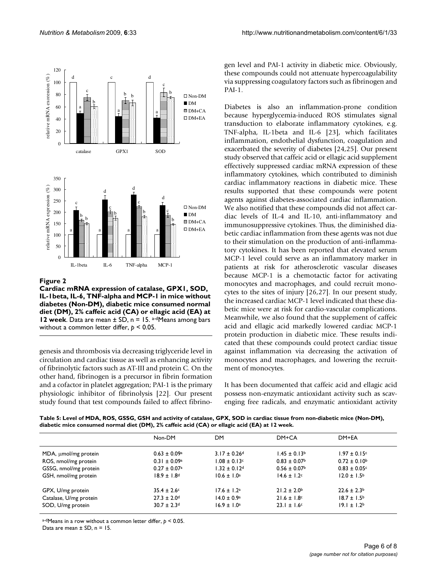

#### Figure 2

**Cardiac mRNA expression of catalase, GPX1, SOD, IL-1beta, IL-6, TNF-alpha and MCP-1 in mice without diabetes (Non-DM), diabetic mice consumed normal diet (DM), 2% caffeic acid (CA) or ellagic acid (EA) at 12 week**. Data are mean ± SD, n = 15. a-dMeans among bars without a common letter differ, *p* < 0.05.

genesis and thrombosis via decreasing triglyceride level in circulation and cardiac tissue as well as enhancing activity of fibrinolytic factors such as AT-III and protein C. On the other hand, fibrinogen is a precursor in fibrin formation and a cofactor in platelet aggregation; PAI-1 is the primary physiologic inhibitor of fibrinolysis [22]. Our present study found that test compounds failed to affect fibrinogen level and PAI-1 activity in diabetic mice. Obviously, these compounds could not attenuate hypercoagulability via suppressing coagulatory factors such as fibrinogen and PAI-1.

Diabetes is also an inflammation-prone condition because hyperglycemia-induced ROS stimulates signal transduction to elaborate inflammatory cytokines, e.g. TNF-alpha, IL-1beta and IL-6 [23], which facilitates inflammation, endothelial dysfunction, coagulation and exacerbated the severity of diabetes [24,25]. Our present study observed that caffeic acid or ellagic acid supplement effectively suppressed cardiac mRNA expression of these inflammatory cytokines, which contributed to diminish cardiac inflammatory reactions in diabetic mice. These results supported that these compounds were potent agents against diabetes-associated cardiac inflammation. We also notified that these compounds did not affect cardiac levels of IL-4 and IL-10, anti-inflammatory and immunosuppressive cytokines. Thus, the diminished diabetic cardiac inflammation from these agents was not due to their stimulation on the production of anti-inflammatory cytokines. It has been reported that elevated serum MCP-1 level could serve as an inflammatory marker in patients at risk for atherosclerotic vascular diseases because MCP-1 is a chemotactic factor for activating monocytes and macrophages, and could recruit monocytes to the sites of injury [26,27]. In our present study, the increased cardiac MCP-1 level indicated that these diabetic mice were at risk for cardio-vascular complications. Meanwhile, we also found that the supplement of caffeic acid and ellagic acid markedly lowered cardiac MCP-1 protein production in diabetic mice. These results indicated that these compounds could protect cardiac tissue against inflammation via decreasing the activation of monocytes and macrophages, and lowering the recruitment of monocytes.

It has been documented that caffeic acid and ellagic acid possess non-enzymatic antioxidant activity such as scavenging free radicals, and enzymatic antioxidant activity

**Table 5: Level of MDA, ROS, GSSG, GSH and activity of catalase, GPX, SOD in cardiac tissue from non-diabetic mice (Non-DM), diabetic mice consumed normal diet (DM), 2% caffeic acid (CA) or ellagic acid (EA) at 12 week.** 

|                        | Non-DM                       | DM                           | DM+CA                        | DM+EA                   |
|------------------------|------------------------------|------------------------------|------------------------------|-------------------------|
| MDA, umol/mg protein   | $0.63 \pm 0.09^{\circ}$      | $3.17 \pm 0.26$ <sup>d</sup> | $1.45 \pm 0.13^b$            | $1.97 \pm 0.15$ c       |
| ROS, nmol/mg protein   | $0.31 \pm 0.09^{\circ}$      | $1.08 \pm 0.13$ c            | $0.83 \pm 0.07$ <sup>b</sup> | $0.72 \pm 0.10^{\circ}$ |
| GSSG, nmol/mg protein  | $0.27 \pm 0.07$ <sup>a</sup> | $1.32 \pm 0.12$ <sup>d</sup> | $0.56 \pm 0.07^{\rm b}$      | $0.83 \pm 0.05$ c       |
| GSH, nmol/mg protein   | $18.9 \pm 1.8$ <sup>d</sup>  | $10.6 \pm 1.0^a$             | $14.6 \pm 1.2$ c             | $12.0 \pm 1.5^{\circ}$  |
| GPX, U/mg protein      | $35.4 \pm 2.6$ c             | $17.6 \pm 1.2^a$             | $21.2 \pm 2.0^{\circ}$       | $22.6 \pm 2.3$          |
| Catalase, U/mg protein | $27.3 \pm 2.0$ <sup>d</sup>  | $14.0 \pm 0.9^{\circ}$       | $21.6 \pm 1.8$ c             | $18.7 \pm 1.5^{\circ}$  |
| SOD, U/mg protein      | $30.7 \pm 2.3$ d             | $16.9 \pm 1.0^a$             | $23.1 \pm 1.6$ c             | $19.1 \pm 1.2^b$        |

a-dMeans in a row without a common letter differ,  $p < 0.05$ . Data are mean  $\pm$  SD, n = 15.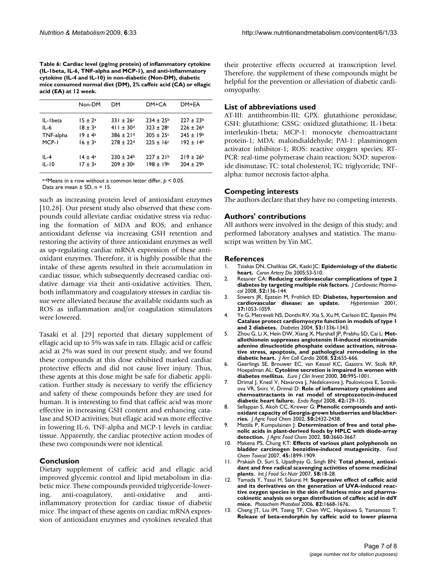**Table 6: Cardiac level (pg/mg protein) of inflammatory cytokine (IL-1beta, IL-6, TNF-alpha and MCP-1), and anti-inflammatory cytokine (IL-4 and IL-10) in non-diabetic (Non-DM), diabetic mice consumed normal diet (DM), 2% caffeic acid (CA) or ellagic acid (EA) at 12 week.**

|           | Non-DM             | DМ                        | DM+CA            | DM+EA                     |
|-----------|--------------------|---------------------------|------------------|---------------------------|
| IL-Ibeta  | $15 \pm 2^a$       | $331 \pm 26$ c            | $234 + 25b$      | $227 + 23b$               |
| IL-6      | $18 \pm 3^{\circ}$ | $411 \pm 30$ <sup>d</sup> | $323 \pm 28$ c   | $226 \pm 26^{\circ}$      |
| TNF-alpha | $19 + 4^a$         | $386 \pm 21$ <sup>d</sup> | $305 \pm 25$ c   | $745 + 19b$               |
| MCP-I     | $16 + 3a$          | $778 + 77d$               | $225 + 16c$      | $192 + 14b$               |
| II -4     | $14 \pm 4^a$       | $230 \pm 24^{\circ}$      | $227 \pm 21^{b}$ | $219 \pm 26^{b}$          |
| IL-10     | $17 \pm 3^a$       | $209 \pm 30^{\circ}$      | $198 \pm 19^{b}$ | $204 \pm 29$ <sup>b</sup> |

a-dMeans in a row without a common letter differ, *p* < 0.05.

Data are mean  $\pm$  SD, n = 15.

such as increasing protein level of antioxidant enzymes [10,28]. Our present study also observed that these compounds could alleviate cardiac oxidative stress via reducing the formation of MDA and ROS; and enhance antioxidant defense via increasing GSH retention and restoring the activity of three antioxidant enzymes as well as up-regulating cardiac mRNA expression of these antioxidant enzymes. Therefore, it is highly possible that the intake of these agents resulted in their accumulation in cardiac tissue, which subsequently decreased cardiac oxidative damage via their anti-oxidative activities. Then, both inflammatory and coagulatory stresses in cardiac tissue were alleviated because the available oxidants such as ROS as inflammation and/or coagulation stimulators were lowered.

Tasaki et al. [29] reported that dietary supplement of ellagic acid up to 5% was safe in rats. Ellagic acid or caffeic acid at 2% was sued in our present study, and we found these compounds at this dose exhibited marked cardiac protective effects and did not cause liver injury. Thus, these agents at this dose might be safe for diabetic application. Further study is necessary to verify the efficiency and safety of these compounds before they are used for human. It is interesting to find that caffeic acid was more effective in increasing GSH content and enhancing catalase and SOD activities; but ellagic acid was more effective in lowering IL-6, TNF-alpha and MCP-1 levels in cardiac tissue. Apparently, the cardiac protective action modes of these two compounds were not identical.

## **Conclusion**

Dietary supplement of caffeic acid and ellagic acid improved glycemic control and lipid metabolism in diabetic mice. These compounds provided triglyceride-lowering, anti-coagulatory, anti-oxidative and antiinflammatory protection for cardiac tissue of diabetic mice. The impact of these agents on cardiac mRNA expression of antioxidant enzymes and cytokines revealed that their protective effects occurred at transcription level. Therefore, the supplement of these compounds might be helpful for the prevention or alleviation of diabetic cardiomyopathy.

## **List of abbreviations used**

AT-III: antithrombin-III; GPX: glutathione peroxidase; GSH: glutathione; GSSG: oxidized glutathione; IL-1beta: interleukin-1beta; MCP-1: monocyte chemoattractant protein-1; MDA: malondialdehyde; PAI-1: plasminogen activator inhibitor-1; ROS: reactive oxygen species; RT-PCR: real-time polymerase chain reaction; SOD: superoxide dismutase; TC: total cholesterol; TG: triglyceride; TNFalpha: tumor necrosis factor-alpha.

## **Competing interests**

The authors declare that they have no competing interests.

#### **Authors' contributions**

All authors were involved in the design of this study; and performed laboratory analyses and statistics. The manuscript was written by Yin MC.

#### **References**

- 1. Tziakas DN, Chalikias GK, Kaski JC: **[Epidemiology of the diabetic](http://www.ncbi.nlm.nih.gov/entrez/query.fcgi?cmd=Retrieve&db=PubMed&dopt=Abstract&list_uids=16340402) [heart.](http://www.ncbi.nlm.nih.gov/entrez/query.fcgi?cmd=Retrieve&db=PubMed&dopt=Abstract&list_uids=16340402)** *Coron Artery Dis* 2005:S3-S10.
- 2. Reasner CA: **[Reducing cardiovascular complications of type 2](http://www.ncbi.nlm.nih.gov/entrez/query.fcgi?cmd=Retrieve&db=PubMed&dopt=Abstract&list_uids=18670366) [diabetes by targeting multiple risk factors.](http://www.ncbi.nlm.nih.gov/entrez/query.fcgi?cmd=Retrieve&db=PubMed&dopt=Abstract&list_uids=18670366)** *J Cardiovasc Pharmacol* 2008, **52:**136-144.
- 3. Sowers JR, Epstein M, Frohlich ED: **[Diabetes, hypertension and](http://www.ncbi.nlm.nih.gov/entrez/query.fcgi?cmd=Retrieve&db=PubMed&dopt=Abstract&list_uids=11304502)** [cardiovascular disease: an update.](http://www.ncbi.nlm.nih.gov/entrez/query.fcgi?cmd=Retrieve&db=PubMed&dopt=Abstract&list_uids=11304502) **37:**1053-1059.
- 4. Ye G, Metreveli NS, Donthi RV, Xia S, Xu M, Carlson EC, Epstein PN: **[Catalase protect cardiomyocyte function in models of type 1](http://www.ncbi.nlm.nih.gov/entrez/query.fcgi?cmd=Retrieve&db=PubMed&dopt=Abstract&list_uids=15111504) [and 2 diabetes.](http://www.ncbi.nlm.nih.gov/entrez/query.fcgi?cmd=Retrieve&db=PubMed&dopt=Abstract&list_uids=15111504)** *Diabetes* 2004, **53:**1336-1343.
- 5. Zhou G, Li X, Hein DW, Xiang X, Marshall JP, Prabhu SD, Cai L: **Metallothionein suppresses angiotensin II-induced nicotinamide adenine dinucleotide phosphate oxidase activation, nitrosative stress, apoptosis, and pathological remodeling in the diabetic heart.** *J Am Coll Cardio* 2008, **52:**655-666.
- 6. Geerlings SE, Brouwer EC, van Kessel KC, Gaastra W, Stolk RP, Hoepelman AL: **Cytokine secretion is impaired in women with diabetes mellitus.** *Euro J Clin Invest* 2000, **30:**995-1001.
- 7. Drimal J, Knezl V, Navarova J, Nedelcevova J, Paulovicova E, Sotnikova VR, Snirc V, Drimal D: **Role of inflammatory cytokines and chemoattractants in rat model of streptozotocin-induced diabetic heart failure.** *Endo Regul* 2008, **42:**129-135.
- 8. Sellappan S, Akoh CC, Krewer G: **[Phenolic compounds and anti](http://www.ncbi.nlm.nih.gov/entrez/query.fcgi?cmd=Retrieve&db=PubMed&dopt=Abstract&list_uids=11929309)[oxidant capacity of Georgia-grown blueberries and blackber](http://www.ncbi.nlm.nih.gov/entrez/query.fcgi?cmd=Retrieve&db=PubMed&dopt=Abstract&list_uids=11929309)[ries.](http://www.ncbi.nlm.nih.gov/entrez/query.fcgi?cmd=Retrieve&db=PubMed&dopt=Abstract&list_uids=11929309)** *J Agric Food Chem* 2002, **50:**2432-2438.
- 9. Mattila P, Kumpulainen J: **[Determination of free and total phe](http://www.ncbi.nlm.nih.gov/entrez/query.fcgi?cmd=Retrieve&db=PubMed&dopt=Abstract&list_uids=12059140)[nolic acids in plant-derived foods by HPLC with diode-array](http://www.ncbi.nlm.nih.gov/entrez/query.fcgi?cmd=Retrieve&db=PubMed&dopt=Abstract&list_uids=12059140) [detection.](http://www.ncbi.nlm.nih.gov/entrez/query.fcgi?cmd=Retrieve&db=PubMed&dopt=Abstract&list_uids=12059140)** *J Agric Food Chem* 2002, **50:**3660-3667.
- 10. Makena PS, Chung KT: **[Effects of various plant polyphenols on](http://www.ncbi.nlm.nih.gov/entrez/query.fcgi?cmd=Retrieve&db=PubMed&dopt=Abstract&list_uids=17560706) [bladder carcinogen benzidine-induced mutagenicity.](http://www.ncbi.nlm.nih.gov/entrez/query.fcgi?cmd=Retrieve&db=PubMed&dopt=Abstract&list_uids=17560706)** *Food Chem Toxicol* 2007, **45:**1899-1909.
- 11. Prakash D, Suri S, Upadhyay G, Singh BN: **[Total phenol, antioxi](http://www.ncbi.nlm.nih.gov/entrez/query.fcgi?cmd=Retrieve&db=PubMed&dopt=Abstract&list_uids=17415953)[dant and free radical scavenging activities of some medicinal](http://www.ncbi.nlm.nih.gov/entrez/query.fcgi?cmd=Retrieve&db=PubMed&dopt=Abstract&list_uids=17415953) [plants.](http://www.ncbi.nlm.nih.gov/entrez/query.fcgi?cmd=Retrieve&db=PubMed&dopt=Abstract&list_uids=17415953)** *Int J Food Sci Nutr* 2007, **58:**18-28.
- 12. Yamada Y, Yasui H, Sakurai H: **[Suppressive effect of caffeic acid](http://www.ncbi.nlm.nih.gov/entrez/query.fcgi?cmd=Retrieve&db=PubMed&dopt=Abstract&list_uids=16836471) and its derivatives on the generation of UVA-induced reac[tive oxygen species in the skin of hairless mice and pharma](http://www.ncbi.nlm.nih.gov/entrez/query.fcgi?cmd=Retrieve&db=PubMed&dopt=Abstract&list_uids=16836471)cokinetic analysis on organ distribution of caffeic acid in ddY [mice.](http://www.ncbi.nlm.nih.gov/entrez/query.fcgi?cmd=Retrieve&db=PubMed&dopt=Abstract&list_uids=16836471)** *Photochem Photobiol* 2006, **82:**1668-1676.
- 13. Cheng JT, Liu IM, Tzeng TF, Chen WC, Hayakawa S, Yamamoto T: **[Release of beta-endorphin by caffeic acid to lower plasma](http://www.ncbi.nlm.nih.gov/entrez/query.fcgi?cmd=Retrieve&db=PubMed&dopt=Abstract&list_uids=12778369)**